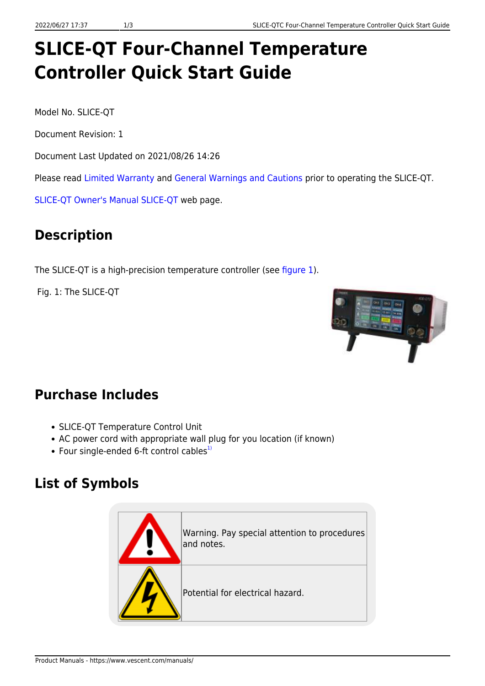# **SLICE-QT Four-Channel Temperature Controller Quick Start Guide**

Model No. SLICE-QT

Document Revision: 1

Document Last Updated on 2021/08/26 14:26

Please read [Limited Warranty](https://www.vescent.com/manuals/doku.php?id=limited_warranty) and [General Warnings and Cautions](https://www.vescent.com/manuals/doku.php?id=warnings_cautions) prior to operating the SLICE-QT.

[SLICE-QT Owner's Manual](https://www.vescent.com/manuals/doku.php?id=slice:qt) [SLICE-QT](https://www.vescent.com/products/electronics/slice/slice-qt-four-channel-temperature-controller/) web page.

# **Description**

The SLICE-QT is a high-precision temperature controller (see [figure 1\)](https://www.vescent.com/manuals/doku.php?id=slice:quick_start_qt#img_qt_prod_shot).

Fig. 1: The SLICE-QT



#### **Purchase Includes**

- SLICE-QT Temperature Control Unit
- AC power cord with appropriate wall plug for you location (if known)
- Four single-ended 6-ft control cables $^{1)}$  $^{1)}$  $^{1)}$

## **List of Symbols**

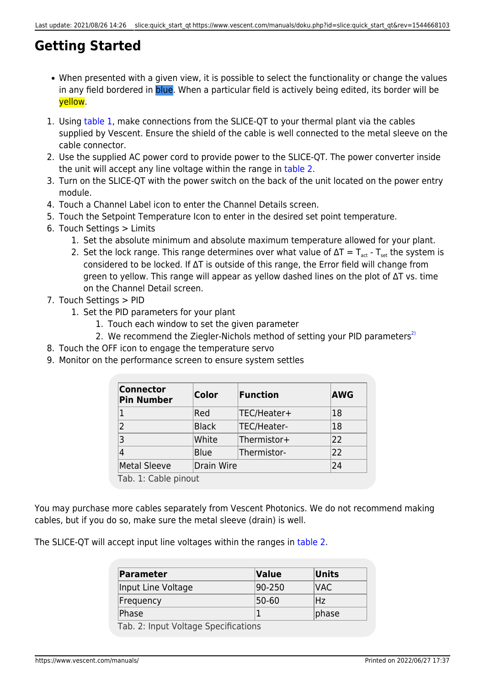## **Getting Started**

- When presented with a given view, it is possible to select the functionality or change the values in any field bordered in blue. When a particular field is actively being edited, its border will be yellow.
- 1. Using [table 1,](https://www.vescent.com/manuals/doku.php?id=slice:quick_start_qt#tab_pinout) make connections from the SLICE-QT to your thermal plant via the cables supplied by Vescent. Ensure the shield of the cable is well connected to the metal sleeve on the cable connector.
- 2. Use the supplied AC power cord to provide power to the SLICE-QT. The power converter inside the unit will accept any line voltage within the range in [table 2.](https://www.vescent.com/manuals/doku.php?id=slice:quick_start_qt#tab_v_rng)
- 3. Turn on the SLICE-QT with the power switch on the back of the unit located on the power entry module.
- 4. Touch a Channel Label icon to enter the Channel Details screen.
- 5. Touch the Setpoint Temperature Icon to enter in the desired set point temperature.
- 6. Touch Settings > Limits
	- 1. Set the absolute minimum and absolute maximum temperature allowed for your plant.
	- 2. Set the lock range. This range determines over what value of  $\Delta T = T_{\text{act}} T_{\text{set}}$  the system is considered to be locked. If ∆T is outside of this range, the Error field will change from green to yellow. This range will appear as yellow dashed lines on the plot of ∆T vs. time on the Channel Detail screen.
- 7. Touch Settings > PID
	- 1. Set the PID parameters for your plant
		- 1. Touch each window to set the given parameter
		- 2. We recommend the Ziegler-Nichols method of setting your PID parameters<sup>[2\)](#page--1-0)</sup>
- 8. Touch the OFF icon to engage the temperature servo
- 9. Monitor on the performance screen to ensure system settles

| <b>Connector</b><br><b>Pin Number</b> | Color        | <b>Function</b> | <b>AWG</b> |
|---------------------------------------|--------------|-----------------|------------|
| 1                                     | Red          | TEC/Heater+     | 18         |
| 2                                     | <b>Black</b> | TEC/Heater-     | 18         |
| 3                                     | White        | Thermistor+     | 22         |
| 4                                     | <b>Blue</b>  | Thermistor-     | 22         |
| <b>Metal Sleeve</b>                   | Drain Wire   |                 | 24         |
| Tab. 1: Cable pinout                  |              |                 |            |

You may purchase more cables separately from Vescent Photonics. We do not recommend making cables, but if you do so, make sure the metal sleeve (drain) is well.

The SLICE-QT will accept input line voltages within the ranges in [table 2.](https://www.vescent.com/manuals/doku.php?id=slice:quick_start_qt#tab_v_rng)

| Parameter                            | Value  | Units |  |
|--------------------------------------|--------|-------|--|
| Input Line Voltage                   | 90-250 | IVAC. |  |
| Frequency                            | 50-60  | 'Hz   |  |
| Phase                                |        | phase |  |
| Tab. 2: Input Voltage Specifications |        |       |  |

https://www.vescent.com/manuals/ Printed on 2022/06/27 17:37